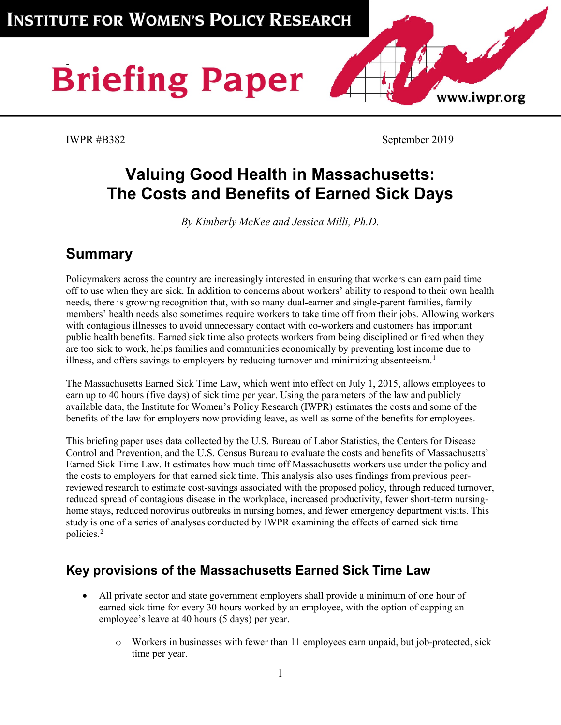# **Briefing Paper**

IWPR #B382 September 2019

www.iwpr.org

# **Valuing Good Health in Massachusetts: The Costs and Benefits of Earned Sick Days**

*By Kimberly McKee and Jessica Milli, Ph.D.*

# **Summary**

Policymakers across the country are increasingly interested in ensuring that workers can earn paid time off to use when they are sick. In addition to concerns about workers' ability to respond to their own health needs, there is growing recognition that, with so many dual-earner and single-parent families, family members' health needs also sometimes require workers to take time off from their jobs. Allowing workers with contagious illnesses to avoid unnecessary contact with co-workers and customers has important public health benefits. Earned sick time also protects workers from being disciplined or fired when they are too sick to work, helps families and communities economically by preventing lost income due to illness, and offers savings to employers by reducing turnover and minimizing absenteeism.<sup>[1](#page-3-0)</sup>

The Massachusetts Earned Sick Time Law, which went into effect on July 1, 2015, allows employees to earn up to 40 hours (five days) of sick time per year. Using the parameters of the law and publicly available data, the Institute for Women's Policy Research (IWPR) estimates the costs and some of the benefits of the law for employers now providing leave, as well as some of the benefits for employees.

This briefing paper uses data collected by the U.S. Bureau of Labor Statistics, the Centers for Disease Control and Prevention, and the U.S. Census Bureau to evaluate the costs and benefits of Massachusetts' Earned Sick Time Law. It estimates how much time off Massachusetts workers use under the policy and the costs to employers for that earned sick time. This analysis also uses findings from previous peerreviewed research to estimate cost-savings associated with the proposed policy, through reduced turnover, reduced spread of contagious disease in the workplace, increased productivity, fewer short-term nursinghome stays, reduced norovirus outbreaks in nursing homes, and fewer emergency department visits. This study is one of a series of analyses conducted by IWPR examining the effects of earned sick time policies[.2](#page-3-1)

## **Key provisions of the Massachusetts Earned Sick Time Law**

- All private sector and state government employers shall provide a minimum of one hour of earned sick time for every 30 hours worked by an employee, with the option of capping an employee's leave at 40 hours (5 days) per year.
	- o Workers in businesses with fewer than 11 employees earn unpaid, but job-protected, sick time per year.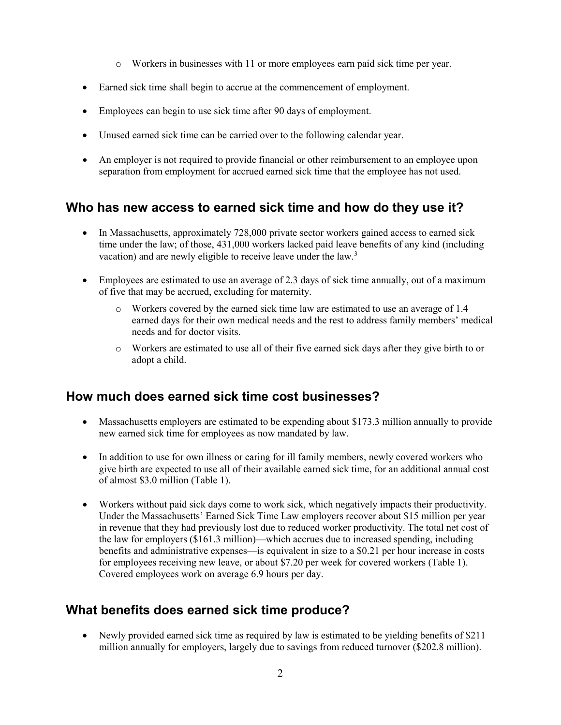- o Workers in businesses with 11 or more employees earn paid sick time per year.
- Earned sick time shall begin to accrue at the commencement of employment.
- Employees can begin to use sick time after 90 days of employment.
- Unused earned sick time can be carried over to the following calendar year.
- An employer is not required to provide financial or other reimbursement to an employee upon separation from employment for accrued earned sick time that the employee has not used.

#### **Who has new access to earned sick time and how do they use it?**

- In Massachusetts, approximately 728,000 private sector workers gained access to earned sick time under the law; of those, 431,000 workers lacked paid leave benefits of any kind (including vacation) and are newly eligible to receive leave under the law.<sup>[3](#page-3-2)</sup>
- Employees are estimated to use an average of 2.3 days of sick time annually, out of a maximum of five that may be accrued, excluding for maternity.
	- o Workers covered by the earned sick time law are estimated to use an average of 1.4 earned days for their own medical needs and the rest to address family members' medical needs and for doctor visits.
	- o Workers are estimated to use all of their five earned sick days after they give birth to or adopt a child.

#### **How much does earned sick time cost businesses?**

- Massachusetts employers are estimated to be expending about \$173.3 million annually to provide new earned sick time for employees as now mandated by law.
- In addition to use for own illness or caring for ill family members, newly covered workers who give birth are expected to use all of their available earned sick time, for an additional annual cost of almost \$3.0 million (Table 1).
- Workers without paid sick days come to work sick, which negatively impacts their productivity. Under the Massachusetts' Earned Sick Time Law employers recover about \$15 million per year in revenue that they had previously lost due to reduced worker productivity. The total net cost of the law for employers (\$161.3 million)—which accrues due to increased spending, including benefits and administrative expenses—is equivalent in size to a \$0.21 per hour increase in costs for employees receiving new leave, or about \$7.20 per week for covered workers (Table 1). Covered employees work on average 6.9 hours per day.

#### **What benefits does earned sick time produce?**

• Newly provided earned sick time as required by law is estimated to be yielding benefits of \$211 million annually for employers, largely due to savings from reduced turnover (\$202.8 million).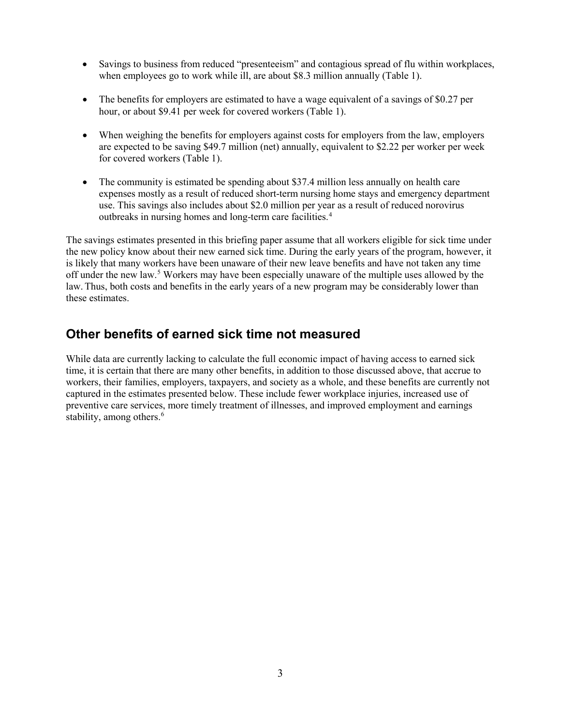- Savings to business from reduced "presenteeism" and contagious spread of flu within workplaces, when employees go to work while ill, are about \$8.3 million annually (Table 1).
- The benefits for employers are estimated to have a wage equivalent of a savings of \$0.27 per hour, or about \$9.41 per week for covered workers (Table 1).
- When weighing the benefits for employers against costs for employers from the law, employers are expected to be saving \$49.7 million (net) annually, equivalent to \$2.22 per worker per week for covered workers (Table 1).
- The community is estimated be spending about \$37.4 million less annually on health care expenses mostly as a result of reduced short-term nursing home stays and emergency department use. This savings also includes about \$2.0 million per year as a result of reduced norovirus outbreaks in nursing homes and long-term care facilities.[4](#page-3-3)

The savings estimates presented in this briefing paper assume that all workers eligible for sick time under the new policy know about their new earned sick time. During the early years of the program, however, it is likely that many workers have been unaware of their new leave benefits and have not taken any time off under the new law.[5](#page-3-4) Workers may have been especially unaware of the multiple uses allowed by the law.Thus, both costs and benefits in the early years of a new program may be considerably lower than these estimates.

#### **Other benefits of earned sick time not measured**

While data are currently lacking to calculate the full economic impact of having access to earned sick time, it is certain that there are many other benefits, in addition to those discussed above, that accrue to workers, their families, employers, taxpayers, and society as a whole, and these benefits are currently not captured in the estimates presented below. These include fewer workplace injuries, increased use of preventive care services, more timely treatment of illnesses, and improved employment and earnings stability, among others.<sup>[6](#page-3-5)</sup>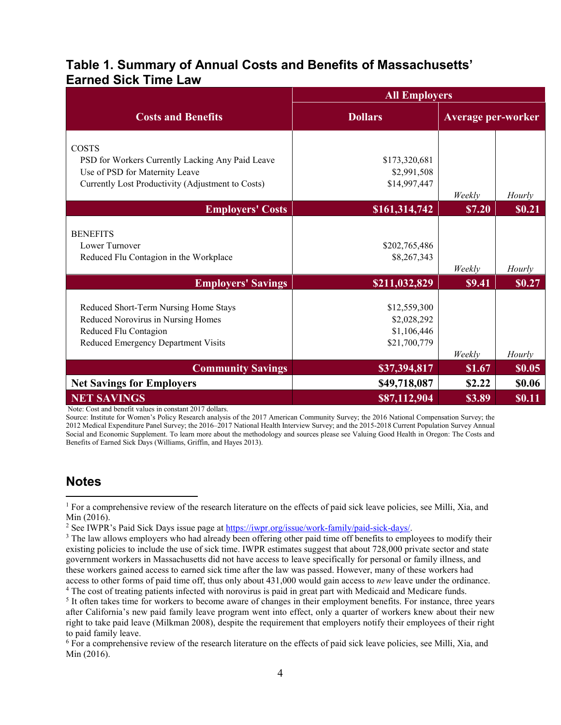#### **Table 1. Summary of Annual Costs and Benefits of Massachusetts' Earned Sick Time Law**

|                                                                                                                                                         | <b>All Employers</b>                                       |                    |               |
|---------------------------------------------------------------------------------------------------------------------------------------------------------|------------------------------------------------------------|--------------------|---------------|
| <b>Costs and Benefits</b>                                                                                                                               | <b>Dollars</b>                                             | Average per-worker |               |
| <b>COSTS</b><br>PSD for Workers Currently Lacking Any Paid Leave<br>Use of PSD for Maternity Leave<br>Currently Lost Productivity (Adjustment to Costs) | \$173,320,681<br>\$2,991,508<br>\$14,997,447               | Weekly             | Hourly        |
| <b>Employers' Costs</b>                                                                                                                                 | \$161,314,742                                              | \$7.20             | \$0.21        |
| <b>BENEFITS</b><br>Lower Turnover<br>Reduced Flu Contagion in the Workplace                                                                             | \$202,765,486<br>\$8,267,343                               | Weekly             | Hourly        |
| <b>Employers' Savings</b>                                                                                                                               | \$211,032,829                                              | \$9.41             | \$0.27        |
| Reduced Short-Term Nursing Home Stays<br>Reduced Norovirus in Nursing Homes<br>Reduced Flu Contagion<br>Reduced Emergency Department Visits             | \$12,559,300<br>\$2,028,292<br>\$1,106,446<br>\$21,700,779 | Weekly             | Hourly        |
| <b>Community Savings</b>                                                                                                                                | \$37,394,817                                               | \$1.67             | \$0.05        |
| <b>Net Savings for Employers</b>                                                                                                                        | \$49,718,087                                               | \$2.22             | \$0.06        |
| <b>NET SAVINGS</b>                                                                                                                                      | \$87,112,904                                               | \$3.89             | <b>\$0.11</b> |

Note: Cost and benefit values in constant 2017 dollars.

Source: Institute for Women's Policy Research analysis of the 2017 American Community Survey; the 2016 National Compensation Survey; the 2012 Medical Expenditure Panel Survey; the 2016–2017 National Health Interview Survey; and the 2015-2018 Current Population Survey Annual Social and Economic Supplement. To learn more about the methodology and sources please see Valuing Good Health in Oregon: The Costs and Benefits of Earned Sick Days (Williams, Griffin, and Hayes 2013).

#### **Notes**

 $\overline{a}$ 

<span id="page-3-0"></span><sup>&</sup>lt;sup>1</sup> For a comprehensive review of the research literature on the effects of paid sick leave policies, see Milli, Xia, and Min (2016).<br>
<sup>2</sup> See IWPR's Paid Sick Days issue page at https://iwpr.org/issue/work-family/paid-sick-days/.

<span id="page-3-1"></span>

<span id="page-3-2"></span><sup>&</sup>lt;sup>3</sup> The law allows employers who had already been offering other paid time off benefits to employees to modify their existing policies to include the use of sick time. IWPR estimates suggest that about 728,000 private sector and state government workers in Massachusetts did not have access to leave specifically for personal or family illness, and these workers gained access to earned sick time after the law was passed. However, many of these workers had access to other forms of paid time off, thus only about 431,000 would gain access to *new* leave under the ordinance.<br><sup>4</sup> The cost of treating patients infected with norovirus is paid in great part with Medicaid and Medica

<span id="page-3-4"></span><span id="page-3-3"></span><sup>&</sup>lt;sup>5</sup> It often takes time for workers to become aware of changes in their employment benefits. For instance, three years after California's new paid family leave program went into effect, only a quarter of workers knew about their new right to take paid leave (Milkman 2008), despite the requirement that employers notify their employees of their right to paid family leave.

<span id="page-3-5"></span><sup>6</sup> For a comprehensive review of the research literature on the effects of paid sick leave policies, see Milli, Xia, and Min (2016).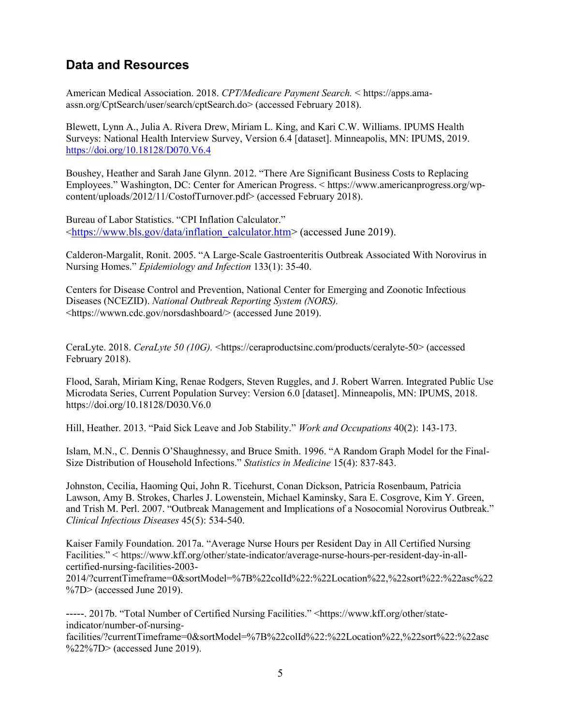### **Data and Resources**

American Medical Association. 2018. *CPT/Medicare Payment Search.* < https://apps.amaassn.org/CptSearch/user/search/cptSearch.do> (accessed February 2018).

Blewett, Lynn A., Julia A. Rivera Drew, Miriam L. King, and Kari C.W. Williams. IPUMS Health Surveys: National Health Interview Survey, Version 6.4 [dataset]. Minneapolis, MN: IPUMS, 2019. <https://doi.org/10.18128/D070.V6.4>

Boushey, Heather and Sarah Jane Glynn. 2012. "There Are Significant Business Costs to Replacing Employees." Washington, DC: Center for American Progress. < https://www.americanprogress.org/wpcontent/uploads/2012/11/CostofTurnover.pdf> (accessed February 2018).

Bureau of Labor Statistics. "CPI Inflation Calculator." [<https://www.bls.gov/data/inflation\\_calculator.htm>](https://www.bls.gov/data/inflation_calculator.htm) (accessed June 2019).

Calderon-Margalit, Ronit. 2005. "A Large-Scale Gastroenteritis Outbreak Associated With Norovirus in Nursing Homes." *Epidemiology and Infection* 133(1): 35-40.

[Centers for Disease Control and Prevention,](https://www.cdc.gov/) [National Center for Emerging and Zoonotic Infectious](http://www.cdc.gov/ncezid/)  [Diseases \(NCEZID\).](http://www.cdc.gov/ncezid/) *National Outbreak Reporting System (NORS).* [<https://wwwn.cdc.gov/norsdashboard/>](https://wwwn.cdc.gov/norsdashboard/) (accessed June 2019).

CeraLyte. 2018. *CeraLyte 50 (10G).* <https://ceraproductsinc.com/products/ceralyte-50> (accessed February 2018).

Flood, Sarah, Miriam King, Renae Rodgers, Steven Ruggles, and J. Robert Warren. Integrated Public Use Microdata Series, Current Population Survey: Version 6.0 [dataset]. Minneapolis, MN: IPUMS, 2018. https://doi.org/10.18128/D030.V6.0

Hill, Heather. 2013. "Paid Sick Leave and Job Stability." *Work and Occupations* 40(2): 143-173.

Islam, M.N., C. Dennis O'Shaughnessy, and Bruce Smith. 1996. "A Random Graph Model for the Final-Size Distribution of Household Infections." *Statistics in Medicine* 15(4): 837-843.

Johnston, Cecilia, Haoming Qui, John R. Ticehurst, Conan Dickson, Patricia Rosenbaum, Patricia Lawson, Amy B. Strokes, Charles J. Lowenstein, Michael Kaminsky, Sara E. Cosgrove, Kim Y. Green, and Trish M. Perl. 2007. "Outbreak Management and Implications of a Nosocomial Norovirus Outbreak." *Clinical Infectious Diseases* 45(5): 534-540.

Kaiser Family Foundation. 2017a. "Average Nurse Hours per Resident Day in All Certified Nursing Facilities." < https://www.kff.org/other/state-indicator/average-nurse-hours-per-resident-day-in-allcertified-nursing-facilities-2003-

2014/?currentTimeframe=0&sortModel=%7B%22colId%22:%22Location%22,%22sort%22:%22asc%22  $\%$ 7D $>$  (accessed June 2019).

-----. 2017b. "Total Number of Certified Nursing Facilities." <https://www.kff.org/other/stateindicator/number-of-nursing-

facilities/?currentTimeframe=0&sortModel=%7B%22colId%22:%22Location%22,%22sort%22:%22asc %22%7D> (accessed June 2019).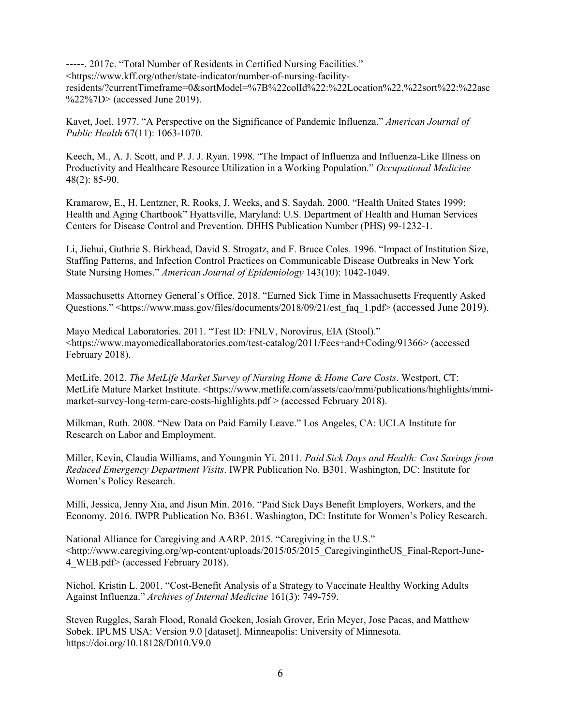-----. 2017c. "Total Number of Residents in Certified Nursing Facilities." <https://www.kff.org/other/state-indicator/number-of-nursing-facilityresidents/?currentTimeframe=0&sortModel=%7B%22colId%22:%22Location%22,%22sort%22:%22asc %22%7D> (accessed June 2019).

Kavet, Joel. 1977. "A Perspective on the Significance of Pandemic Influenza." *American Journal of Public Health* 67(11): 1063-1070.

Keech, M., A. J. Scott, and P. J. J. Ryan. 1998. "The Impact of Influenza and Influenza-Like Illness on Productivity and Healthcare Resource Utilization in a Working Population." *Occupational Medicine*  48(2): 85-90.

Kramarow, E., H. Lentzner, R. Rooks, J. Weeks, and S. Saydah. 2000. "Health United States 1999: Health and Aging Chartbook" Hyattsville, Maryland: U.S. Department of Health and Human Services Centers for Disease Control and Prevention. DHHS Publication Number (PHS) 99-1232-1.

Li, Jiehui, Guthrie S. Birkhead, David S. Strogatz, and F. Bruce Coles. 1996. "Impact of Institution Size, Staffing Patterns, and Infection Control Practices on Communicable Disease Outbreaks in New York State Nursing Homes." *American Journal of Epidemiology* 143(10): 1042-1049.

Massachusetts Attorney General's Office. 2018. "Earned Sick Time in Massachusetts Frequently Asked Questions." [<https://www.mass.gov/files/documents/2018/09/21/est\\_faq\\_1.pdf>](https://www.mass.gov/files/documents/2018/09/21/est_faq_1.pdf) (accessed June 2019).

Mayo Medical Laboratories. 2011. "Test ID: FNLV, Norovirus, EIA (Stool)." <https://www.mayomedicallaboratories.com/test-catalog/2011/Fees+and+Coding/91366> (accessed February 2018).

MetLife. 2012. *The MetLife Market Survey of Nursing Home & Home Care Costs*. Westport, CT: MetLife Mature Market Institute. <https://www.metlife.com/assets/cao/mmi/publications/highlights/mmimarket-survey-long-term-care-costs-highlights.pdf > (accessed February 2018).

Milkman, Ruth. 2008. "New Data on Paid Family Leave." Los Angeles, CA: UCLA Institute for Research on Labor and Employment.

Miller, Kevin, Claudia Williams, and Youngmin Yi. 2011. *Paid Sick Days and Health: Cost Savings from Reduced Emergency Department Visits*. IWPR Publication No. B301. Washington, DC: Institute for Women's Policy Research.

Milli, Jessica, Jenny Xia, and Jisun Min. 2016. "Paid Sick Days Benefit Employers, Workers, and the Economy. 2016. IWPR Publication No. B361. Washington, DC: Institute for Women's Policy Research.

National Alliance for Caregiving and AARP. 2015. "Caregiving in the U.S." <http://www.caregiving.org/wp-content/uploads/2015/05/2015\_CaregivingintheUS\_Final-Report-June-4\_WEB.pdf> (accessed February 2018).

Nichol, Kristin L. 2001. "Cost-Benefit Analysis of a Strategy to Vaccinate Healthy Working Adults Against Influenza." *Archives of Internal Medicine* 161(3): 749-759.

Steven Ruggles, Sarah Flood, Ronald Goeken, Josiah Grover, Erin Meyer, Jose Pacas, and Matthew Sobek. IPUMS USA: Version 9.0 [dataset]. Minneapolis: University of Minnesota. https://doi.org/10.18128/D010.V9.0